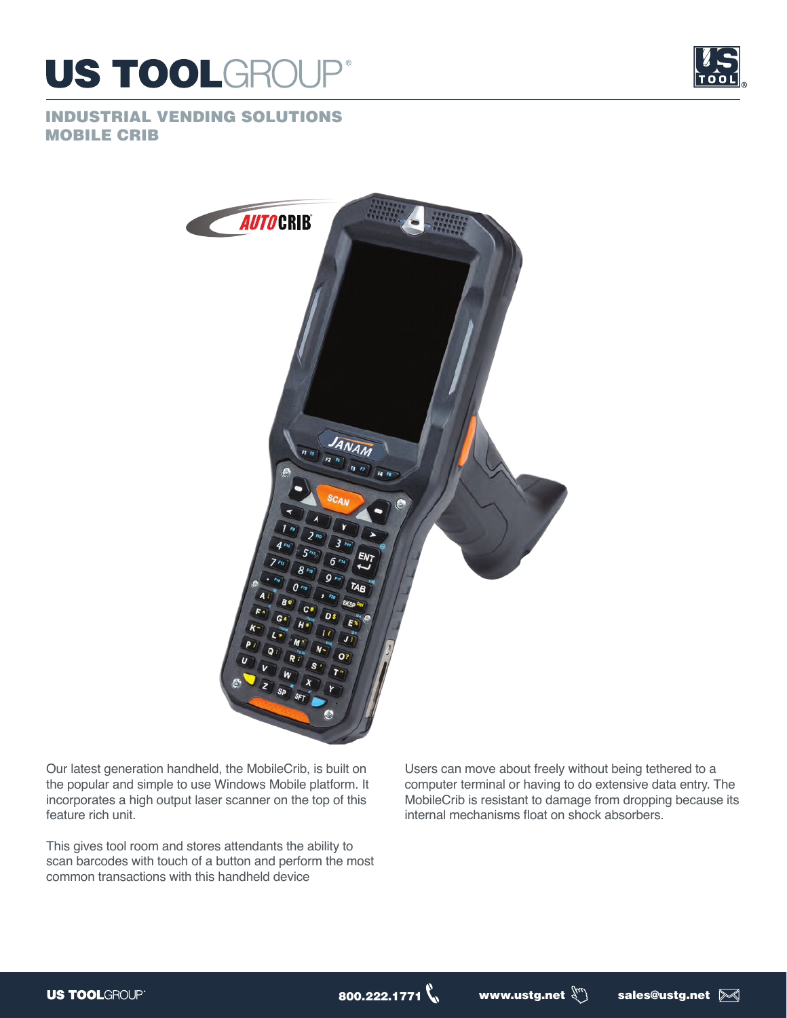



## INDUSTRIAL VENDING SOLUTIONS MOBILE CRIB



Our latest generation handheld, the MobileCrib, is built on the popular and simple to use Windows Mobile platform. It incorporates a high output laser scanner on the top of this feature rich unit.

This gives tool room and stores attendants the ability to scan barcodes with touch of a button and perform the most common transactions with this handheld device

Users can move about freely without being tethered to a computer terminal or having to do extensive data entry. The MobileCrib is resistant to damage from dropping because its internal mechanisms float on shock absorbers.